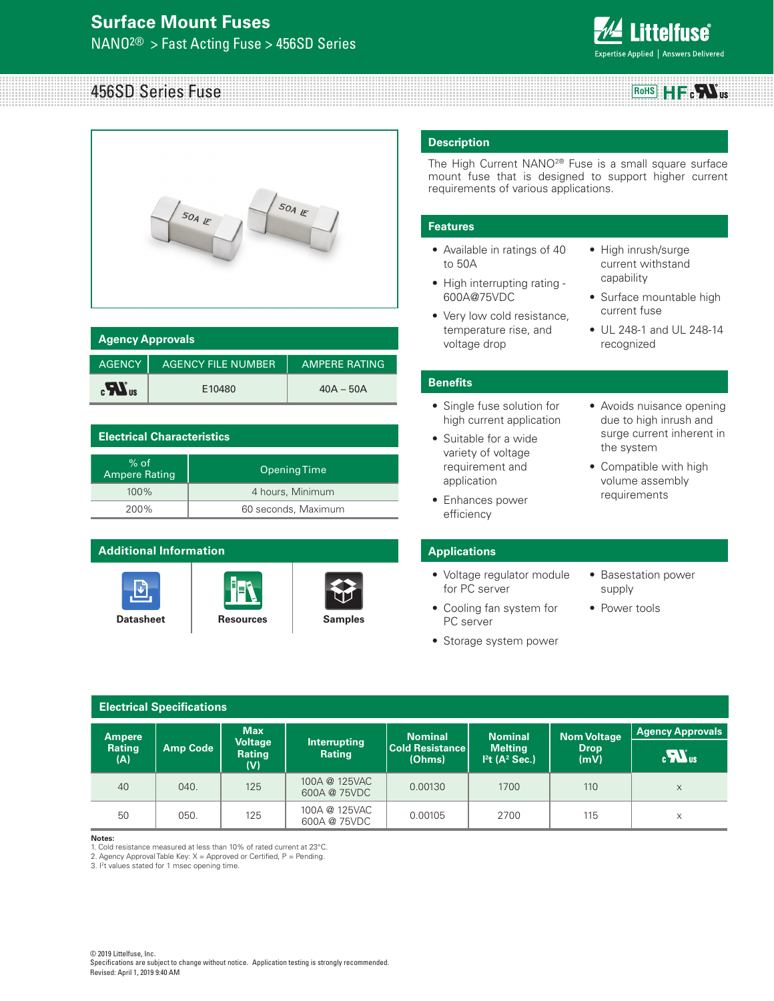

### 456SD Series Fuse **RoHS**  $\mathbf{H} = \mathbf{e} \mathbf{W}$ us



| <b>Agency Approvals</b> |                           |                      |  |
|-------------------------|---------------------------|----------------------|--|
| <b>AGENCY</b>           | <b>AGENCY FILE NUMBER</b> | <b>AMPERE RATING</b> |  |
| $\mathbf{r}$            | E10480                    | $40A - 50A$          |  |

# **Electrical Characteristics**

| $%$ of<br><b>Ampere Rating</b> | Opening Time        |
|--------------------------------|---------------------|
| 100%                           | 4 hours, Minimum    |
| 200%                           | 60 seconds, Maximum |

# **Additional Information**







# **Description**

The High Current NANO2® Fuse is a small square surface mount fuse that is designed to support higher current requirements of various applications.

# **Features**

- Available in ratings of 40 to 50A
- High interrupting rating 600A@75VDC
- Very low cold resistance, temperature rise, and voltage drop
- High inrush/surge current withstand capability
- Surface mountable high current fuse
- UL 248-1 and UL 248-14 recognized

# **Benefits**

- Single fuse solution for high current application
- Suitable for a wide variety of voltage requirement and application
- Enhances power efficiency
- Avoids nuisance opening due to high inrush and surge current inherent in the system
- Compatible with high volume assembly requirements

# **Applications**

- Voltage regulator module for PC server
- Cooling fan system for PC server
- Storage system power
- Basestation power supply
- Power tools

| <b>Electrical Specifications</b> |                 |                              |                               |                                          |                                  |                                   |                         |
|----------------------------------|-----------------|------------------------------|-------------------------------|------------------------------------------|----------------------------------|-----------------------------------|-------------------------|
| <b>Ampere</b><br>Rating          | <b>Amp Code</b> | <b>Max</b><br><b>Voltage</b> | Interrupting                  | <b>Nominal</b><br><b>Cold Resistance</b> | <b>Nominal</b><br><b>Melting</b> | <b>Nom Voltage</b><br><b>Drop</b> | <b>Agency Approvals</b> |
| (A)                              |                 | Rating<br>(V)                | Rating                        | (Ohms)                                   | $Pt(A^2 Sec.)$                   | (mV)                              | $\mathbf{R}$            |
| 40                               | 040.            | 125                          | 100A @ 125VAC<br>600A @ 75VDC | 0.00130                                  | 1700                             | 110                               | X                       |
| 50                               | 050.            | 125                          | 100A @ 125VAC<br>600A @ 75VDC | 0.00105                                  | 2700                             | 115                               | X                       |

## **Notes:**

1. Cold resistance measured at less than 10% of rated current at 23°C.

2. Agency Approval Table Key:  $X =$  Approved or Certified,  $P =$  Pending.

3. I2 t values stated for 1 msec opening time.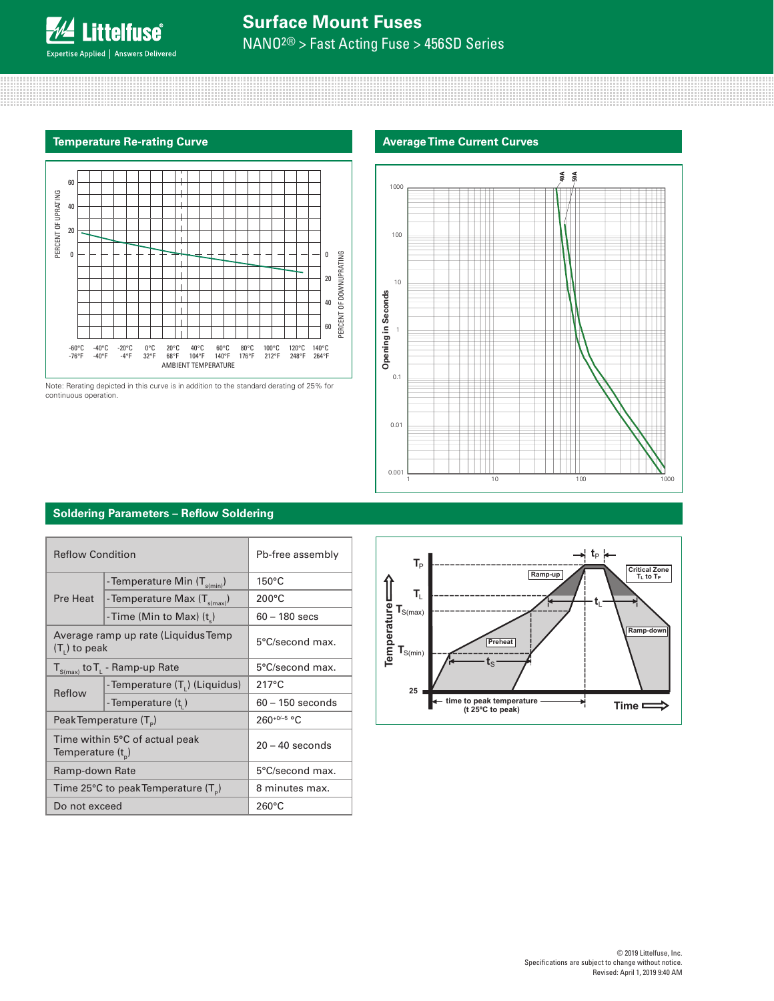# **Surface Mount Fuses**

NANO2® > Fast Acting Fuse > 456SD Series

# **Temperature Re-rating Curve Average Time Current Curves**



Note: Rerating depicted in this curve is in addition to the standard derating of 25% for continuous operation.



# **Soldering Parameters – Reflow Soldering**

| <b>Reflow Condition</b>                                   |                                            | Pb-free assembly   |  |
|-----------------------------------------------------------|--------------------------------------------|--------------------|--|
|                                                           | - Temperature Min (T <sub>s(min)</sub> )   | $150^{\circ}$ C    |  |
| Pre Heat                                                  | - Temperature Max $(T_{s(max)})$           | $200^{\circ}$ C    |  |
|                                                           | -Time (Min to Max) (t)                     | $60 - 180$ secs    |  |
| $(T1)$ to peak                                            | Average ramp up rate (Liquidus Temp        | 5°C/second max.    |  |
| $T_{S(max)}$ to $T_{L}$ - Ramp-up Rate                    |                                            | 5°C/second max.    |  |
| Reflow                                                    | - Temperature (T <sub>1</sub> ) (Liquidus) | $217^{\circ}$ C    |  |
|                                                           | - Temperature (t,)                         | $60 - 150$ seconds |  |
| Peak Temperature (T <sub>e</sub> )                        |                                            | $260^{+0/-5}$ °C   |  |
| Time within 5°C of actual peak<br>Temperature $(t_{n})$   |                                            | $20 - 40$ seconds  |  |
| Ramp-down Rate                                            |                                            | 5°C/second max.    |  |
| Time 25 $\degree$ C to peak Temperature (T <sub>o</sub> ) |                                            | 8 minutes max.     |  |
| Do not exceed                                             |                                            | $260^{\circ}$ C    |  |